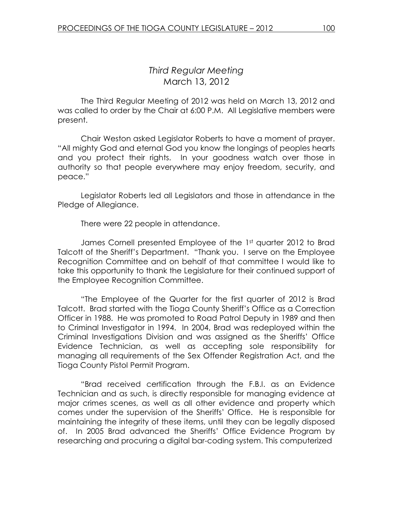## Third Regular Meeting March 13, 2012

 The Third Regular Meeting of 2012 was held on March 13, 2012 and was called to order by the Chair at 6:00 P.M. All Legislative members were present.

Chair Weston asked Legislator Roberts to have a moment of prayer. "All mighty God and eternal God you know the longings of peoples hearts and you protect their rights. In your goodness watch over those in authority so that people everywhere may enjoy freedom, security, and peace."

 Legislator Roberts led all Legislators and those in attendance in the Pledge of Allegiance.

There were 22 people in attendance.

James Cornell presented Employee of the 1st quarter 2012 to Brad Talcott of the Sheriff's Department. "Thank you. I serve on the Employee Recognition Committee and on behalf of that committee I would like to take this opportunity to thank the Legislature for their continued support of the Employee Recognition Committee.

 "The Employee of the Quarter for the first quarter of 2012 is Brad Talcott. Brad started with the Tioga County Sheriff's Office as a Correction Officer in 1988. He was promoted to Road Patrol Deputy in 1989 and then to Criminal Investigator in 1994. In 2004, Brad was redeployed within the Criminal Investigations Division and was assigned as the Sheriffs' Office Evidence Technician, as well as accepting sole responsibility for managing all requirements of the Sex Offender Registration Act, and the Tioga County Pistol Permit Program.

"Brad received certification through the F.B.I. as an Evidence Technician and as such, is directly responsible for managing evidence at major crimes scenes, as well as all other evidence and property which comes under the supervision of the Sheriffs' Office. He is responsible for maintaining the integrity of these items, until they can be legally disposed of. In 2005 Brad advanced the Sheriffs' Office Evidence Program by researching and procuring a digital bar-coding system. This computerized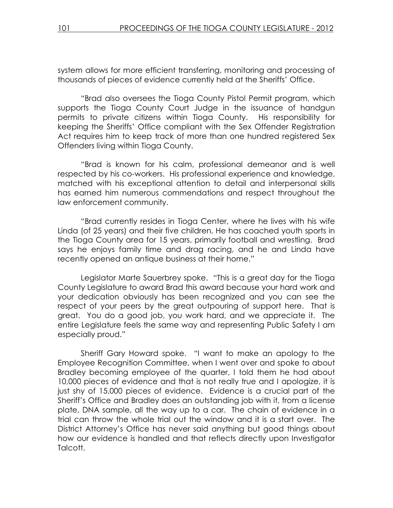system allows for more efficient transferring, monitoring and processing of thousands of pieces of evidence currently held at the Sheriffs' Office.

"Brad also oversees the Tioga County Pistol Permit program, which supports the Tioga County Court Judge in the issuance of handgun permits to private citizens within Tioga County. His responsibility for keeping the Sheriffs' Office compliant with the Sex Offender Registration Act requires him to keep track of more than one hundred registered Sex Offenders living within Tioga County.

"Brad is known for his calm, professional demeanor and is well respected by his co-workers. His professional experience and knowledge, matched with his exceptional attention to detail and interpersonal skills has earned him numerous commendations and respect throughout the law enforcement community.

"Brad currently resides in Tioga Center, where he lives with his wife Linda (of 25 years) and their five children. He has coached youth sports in the Tioga County area for 15 years, primarily football and wrestling. Brad says he enjoys family time and drag racing, and he and Linda have recently opened an antique business at their home."

 Legislator Marte Sauerbrey spoke. "This is a great day for the Tioga County Legislature to award Brad this award because your hard work and your dedication obviously has been recognized and you can see the respect of your peers by the great outpouring of support here. That is great. You do a good job, you work hard, and we appreciate it. The entire Legislature feels the same way and representing Public Safety I am especially proud."

 Sheriff Gary Howard spoke. "I want to make an apology to the Employee Recognition Committee, when I went over and spoke to about Bradley becoming employee of the quarter, I told them he had about 10,000 pieces of evidence and that is not really true and I apologize, it is just shy of 15,000 pieces of evidence. Evidence is a crucial part of the Sheriff's Office and Bradley does an outstanding job with it, from a license plate, DNA sample, all the way up to a car. The chain of evidence in a trial can throw the whole trial out the window and it is a start over. The District Attorney's Office has never said anything but good things about how our evidence is handled and that reflects directly upon Investigator Talcott.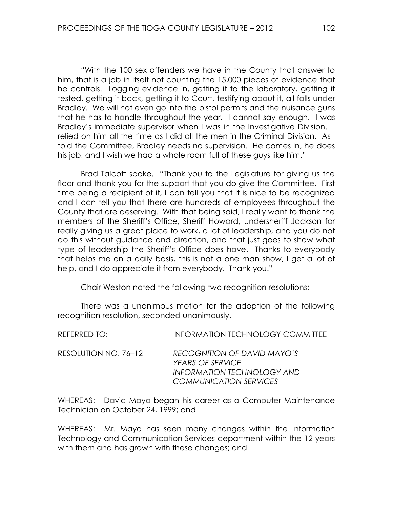"With the 100 sex offenders we have in the County that answer to him, that is a job in itself not counting the 15,000 pieces of evidence that he controls. Logging evidence in, getting it to the laboratory, getting it tested, getting it back, getting it to Court, testifying about it, all falls under Bradley. We will not even go into the pistol permits and the nuisance guns that he has to handle throughout the year. I cannot say enough. I was Bradley's immediate supervisor when I was in the Investigative Division. I relied on him all the time as I did all the men in the Criminal Division. As I told the Committee, Bradley needs no supervision. He comes in, he does his job, and I wish we had a whole room full of these guys like him."

 Brad Talcott spoke. "Thank you to the Legislature for giving us the floor and thank you for the support that you do give the Committee. First time being a recipient of it, I can tell you that it is nice to be recognized and I can tell you that there are hundreds of employees throughout the County that are deserving. With that being said, I really want to thank the members of the Sheriff's Office, Sheriff Howard, Undersheriff Jackson for really giving us a great place to work, a lot of leadership, and you do not do this without guidance and direction, and that just goes to show what type of leadership the Sheriff's Office does have. Thanks to everybody that helps me on a daily basis, this is not a one man show, I get a lot of help, and I do appreciate it from everybody. Thank you."

Chair Weston noted the following two recognition resolutions:

 There was a unanimous motion for the adoption of the following recognition resolution, seconded unanimously.

| REFERRED TO:         | <b>INFORMATION TECHNOLOGY COMMITTEE</b>                                                                                      |
|----------------------|------------------------------------------------------------------------------------------------------------------------------|
| RESOLUTION NO. 76–12 | RECOGNITION OF DAVID MAYO'S<br><b>YEARS OF SERVICE</b><br><b>INFORMATION TECHNOLOGY AND</b><br><b>COMMUNICATION SERVICES</b> |

WHEREAS: David Mayo began his career as a Computer Maintenance Technician on October 24, 1999; and

WHEREAS: Mr. Mayo has seen many changes within the Information Technology and Communication Services department within the 12 years with them and has grown with these changes; and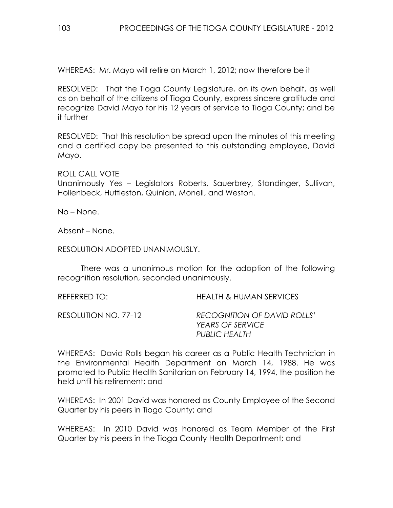WHEREAS: Mr. Mayo will retire on March 1, 2012; now therefore be it

RESOLVED: That the Tioga County Legislature, on its own behalf, as well as on behalf of the citizens of Tioga County, express sincere gratitude and recognize David Mayo for his 12 years of service to Tioga County; and be it further

RESOLVED: That this resolution be spread upon the minutes of this meeting and a certified copy be presented to this outstanding employee, David Mayo.

ROLL CALL VOTE

Unanimously Yes – Legislators Roberts, Sauerbrey, Standinger, Sullivan, Hollenbeck, Huttleston, Quinlan, Monell, and Weston.

No – None.

Absent – None.

RESOLUTION ADOPTED UNANIMOUSLY.

 There was a unanimous motion for the adoption of the following recognition resolution, seconded unanimously.

REFERRED TO: HEALTH & HUMAN SERVICES

RESOLUTION NO. 77-12 RECOGNITION OF DAVID ROLLS' YEARS OF SERVICE PUBLIC HEALTH

WHEREAS: David Rolls began his career as a Public Health Technician in the Environmental Health Department on March 14, 1988. He was promoted to Public Health Sanitarian on February 14, 1994, the position he held until his retirement; and

WHEREAS: In 2001 David was honored as County Employee of the Second Quarter by his peers in Tioga County; and

WHEREAS: In 2010 David was honored as Team Member of the First Quarter by his peers in the Tioga County Health Department; and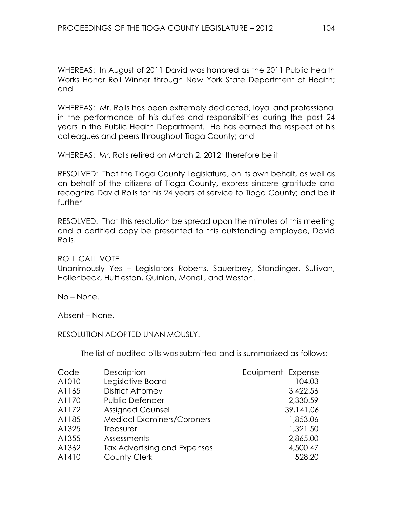WHEREAS: In August of 2011 David was honored as the 2011 Public Health Works Honor Roll Winner through New York State Department of Health; and

WHEREAS: Mr. Rolls has been extremely dedicated, loyal and professional in the performance of his duties and responsibilities during the past 24 years in the Public Health Department. He has earned the respect of his colleagues and peers throughout Tioga County; and

WHEREAS: Mr. Rolls retired on March 2, 2012; therefore be it

RESOLVED: That the Tioga County Legislature, on its own behalf, as well as on behalf of the citizens of Tioga County, express sincere gratitude and recognize David Rolls for his 24 years of service to Tioga County; and be it further

RESOLVED: That this resolution be spread upon the minutes of this meeting and a certified copy be presented to this outstanding employee, David Rolls.

ROLL CALL VOTE

Unanimously Yes – Legislators Roberts, Sauerbrey, Standinger, Sullivan, Hollenbeck, Huttleston, Quinlan, Monell, and Weston.

No – None.

Absent – None.

RESOLUTION ADOPTED UNANIMOUSLY.

The list of audited bills was submitted and is summarized as follows:

| Code  | Description                       | Equipment Expense |
|-------|-----------------------------------|-------------------|
| A1010 | Legislative Board                 | 104.03            |
| A1165 | <b>District Attorney</b>          | 3,422.56          |
| A1170 | Public Defender                   | 2,330.59          |
| A1172 | <b>Assigned Counsel</b>           | 39,141.06         |
| A1185 | <b>Medical Examiners/Coroners</b> | 1,853.06          |
| A1325 | Treasurer                         | 1,321.50          |
| A1355 | Assessments                       | 2,865.00          |
| A1362 | Tax Advertising and Expenses      | 4,500.47          |
| A1410 | <b>County Clerk</b>               | 528.20            |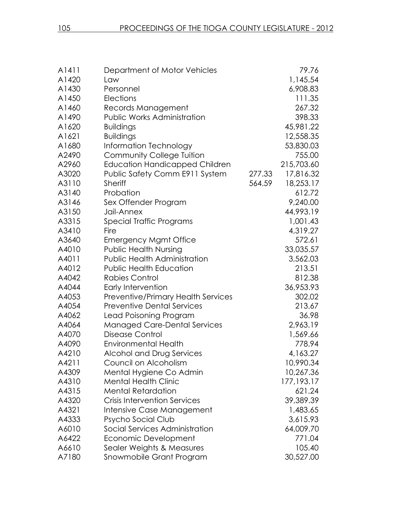| A1411 | Department of Motor Vehicles          |        | 79.76        |
|-------|---------------------------------------|--------|--------------|
| A1420 | Law                                   |        | 1,145.54     |
| A1430 | Personnel                             |        | 6,908.83     |
| A1450 | Elections                             |        | 111.35       |
| A1460 | Records Management                    |        | 267.32       |
| A1490 | <b>Public Works Administration</b>    |        | 398.33       |
| A1620 | <b>Buildings</b>                      |        | 45,981.22    |
| A1621 | <b>Buildings</b>                      |        | 12,558.35    |
| A1680 | Information Technology                |        | 53,830.03    |
| A2490 | <b>Community College Tuition</b>      |        | 755.00       |
| A2960 | <b>Education Handicapped Children</b> |        | 215,703.60   |
| A3020 | Public Safety Comm E911 System        | 277.33 | 17,816.32    |
| A3110 | <b>Sheriff</b>                        | 564.59 | 18,253.17    |
| A3140 | Probation                             |        | 612.72       |
| A3146 | Sex Offender Program                  |        | 9,240.00     |
| A3150 | Jail-Annex                            |        | 44,993.19    |
| A3315 | Special Traffic Programs              |        | 1,001.43     |
| A3410 | Fire                                  |        | 4,319.27     |
| A3640 | <b>Emergency Mgmt Office</b>          |        | 572.61       |
| A4010 | <b>Public Health Nursing</b>          |        | 33,035.57    |
| A4011 | <b>Public Health Administration</b>   |        | 3,562.03     |
| A4012 | <b>Public Health Education</b>        |        | 213.51       |
| A4042 | Rabies Control                        |        | 812.38       |
| A4044 | Early Intervention                    |        | 36,953.93    |
| A4053 | Preventive/Primary Health Services    |        | 302.02       |
| A4054 | <b>Preventive Dental Services</b>     |        | 213.67       |
| A4062 | Lead Poisoning Program                |        | 36.98        |
| A4064 | <b>Managed Care-Dental Services</b>   |        | 2,963.19     |
| A4070 | <b>Disease Control</b>                |        | 1,569.66     |
| A4090 | <b>Environmental Health</b>           |        | 778.94       |
| A4210 | Alcohol and Drug Services             |        | 4,163.27     |
| A4211 | Council on Alcoholism                 |        | 10,990.34    |
| A4309 | Mental Hygiene Co Admin               |        | 10,267.36    |
| A4310 | <b>Mental Health Clinic</b>           |        | 177, 193. 17 |
| A4315 | <b>Mental Retardation</b>             |        | 621.24       |
| A4320 | <b>Crisis Intervention Services</b>   |        | 39,389.39    |
| A4321 | Intensive Case Management             |        | 1,483.65     |
| A4333 | Psycho Social Club                    |        | 3,615.93     |
| A6010 | Social Services Administration        |        | 64,009.70    |
| A6422 | Economic Development                  |        | 771.04       |
| A6610 | Sealer Weights & Measures             |        | 105.40       |
| A7180 | Snowmobile Grant Program              |        | 30,527.00    |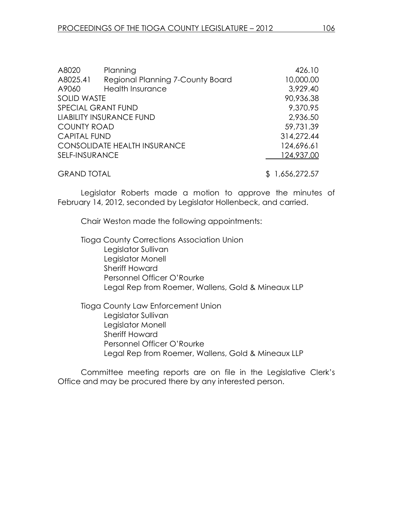| A8020               | Planning                            | 426.10         |
|---------------------|-------------------------------------|----------------|
| A8025.41            | Regional Planning 7-County Board    | 10,000.00      |
| A9060               | <b>Health Insurance</b>             | 3,929.40       |
| <b>SOLID WASTE</b>  |                                     | 90,936.38      |
|                     | <b>SPECIAL GRANT FUND</b>           | 9,370.95       |
|                     | LIABILITY INSURANCE FUND            | 2,936.50       |
| <b>COUNTY ROAD</b>  |                                     | 59,731.39      |
| <b>CAPITAL FUND</b> |                                     | 314,272.44     |
|                     | <b>CONSOLIDATE HEALTH INSURANCE</b> | 124,696.61     |
| SELF-INSURANCE      |                                     | 124,937.00     |
| <b>GRAND TOTAL</b>  |                                     | \$1,656,272.57 |

Legislator Roberts made a motion to approve the minutes of February 14, 2012, seconded by Legislator Hollenbeck, and carried.

Chair Weston made the following appointments:

 Tioga County Corrections Association Union Legislator Sullivan Legislator Monell Sheriff Howard Personnel Officer O'Rourke Legal Rep from Roemer, Wallens, Gold & Mineaux LLP

 Tioga County Law Enforcement Union Legislator Sullivan Legislator Monell Sheriff Howard Personnel Officer O'Rourke Legal Rep from Roemer, Wallens, Gold & Mineaux LLP

Committee meeting reports are on file in the Legislative Clerk's Office and may be procured there by any interested person.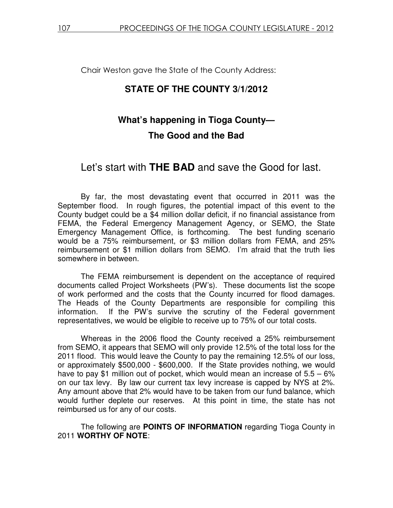Chair Weston gave the State of the County Address:

## **STATE OF THE COUNTY 3/1/2012**

# **What's happening in Tioga County— The Good and the Bad**

# Let's start with **THE BAD** and save the Good for last.

 By far, the most devastating event that occurred in 2011 was the September flood. In rough figures, the potential impact of this event to the County budget could be a \$4 million dollar deficit, if no financial assistance from FEMA, the Federal Emergency Management Agency, or SEMO, the State Emergency Management Office, is forthcoming. The best funding scenario would be a 75% reimbursement, or \$3 million dollars from FEMA, and 25% reimbursement or \$1 million dollars from SEMO. I'm afraid that the truth lies somewhere in between.

 The FEMA reimbursement is dependent on the acceptance of required documents called Project Worksheets (PW's). These documents list the scope of work performed and the costs that the County incurred for flood damages. The Heads of the County Departments are responsible for compiling this information. If the PW's survive the scrutiny of the Federal government representatives, we would be eligible to receive up to 75% of our total costs.

 Whereas in the 2006 flood the County received a 25% reimbursement from SEMO, it appears that SEMO will only provide 12.5% of the total loss for the 2011 flood. This would leave the County to pay the remaining 12.5% of our loss, or approximately \$500,000 - \$600,000. If the State provides nothing, we would have to pay \$1 million out of pocket, which would mean an increase of  $5.5 - 6\%$ on our tax levy. By law our current tax levy increase is capped by NYS at 2%. Any amount above that 2% would have to be taken from our fund balance, which would further deplete our reserves. At this point in time, the state has not reimbursed us for any of our costs.

 The following are **POINTS OF INFORMATION** regarding Tioga County in 2011 **WORTHY OF NOTE**: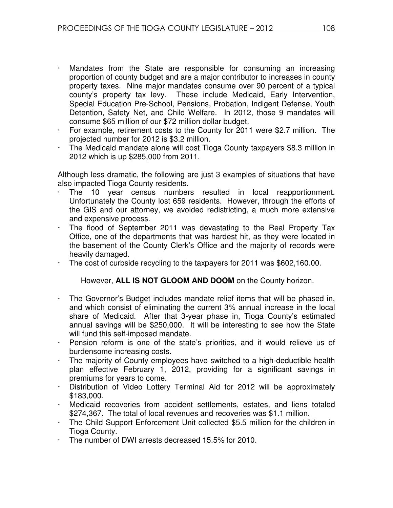- Mandates from the State are responsible for consuming an increasing proportion of county budget and are a major contributor to increases in county property taxes. Nine major mandates consume over 90 percent of a typical county's property tax levy. These include Medicaid, Early Intervention, Special Education Pre-School, Pensions, Probation, Indigent Defense, Youth Detention, Safety Net, and Child Welfare. In 2012, those 9 mandates will consume \$65 million of our \$72 million dollar budget.
- For example, retirement costs to the County for 2011 were \$2.7 million. The projected number for 2012 is \$3.2 million.
- The Medicaid mandate alone will cost Tioga County taxpayers \$8.3 million in 2012 which is up \$285,000 from 2011.

Although less dramatic, the following are just 3 examples of situations that have also impacted Tioga County residents.

- The 10 year census numbers resulted in local reapportionment. Unfortunately the County lost 659 residents. However, through the efforts of the GIS and our attorney, we avoided redistricting, a much more extensive and expensive process.
- $\cdot$  The flood of September 2011 was devastating to the Real Property Tax Office, one of the departments that was hardest hit, as they were located in the basement of the County Clerk's Office and the majority of records were heavily damaged.
- The cost of curbside recycling to the taxpayers for 2011 was \$602,160.00.

However, **ALL IS NOT GLOOM AND DOOM** on the County horizon.

- The Governor's Budget includes mandate relief items that will be phased in, and which consist of eliminating the current 3% annual increase in the local share of Medicaid. After that 3-year phase in, Tioga County's estimated annual savings will be \$250,000. It will be interesting to see how the State will fund this self-imposed mandate.
- Pension reform is one of the state's priorities, and it would relieve us of burdensome increasing costs.
- The majority of County employees have switched to a high-deductible health plan effective February 1, 2012, providing for a significant savings in premiums for years to come.
- Distribution of Video Lottery Terminal Aid for 2012 will be approximately \$183,000.
- Medicaid recoveries from accident settlements, estates, and liens totaled \$274,367. The total of local revenues and recoveries was \$1.1 million.
- The Child Support Enforcement Unit collected \$5.5 million for the children in Tioga County.
- The number of DWI arrests decreased 15.5% for 2010.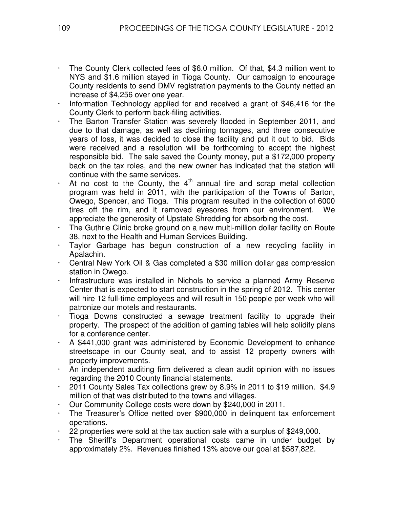- The County Clerk collected fees of \$6.0 million. Of that, \$4.3 million went to NYS and \$1.6 million stayed in Tioga County. Our campaign to encourage County residents to send DMV registration payments to the County netted an increase of \$4,256 over one year.
- Information Technology applied for and received a grant of \$46,416 for the County Clerk to perform back-filing activities.
- The Barton Transfer Station was severely flooded in September 2011, and due to that damage, as well as declining tonnages, and three consecutive years of loss, it was decided to close the facility and put it out to bid. Bids were received and a resolution will be forthcoming to accept the highest responsible bid. The sale saved the County money, put a \$172,000 property back on the tax roles, and the new owner has indicated that the station will continue with the same services.
- At no cost to the County, the  $4<sup>th</sup>$  annual tire and scrap metal collection program was held in 2011, with the participation of the Towns of Barton, Owego, Spencer, and Tioga. This program resulted in the collection of 6000 tires off the rim, and it removed eyesores from our environment. We appreciate the generosity of Upstate Shredding for absorbing the cost.
- The Guthrie Clinic broke ground on a new multi-million dollar facility on Route 38, next to the Health and Human Services Building.
- Taylor Garbage has begun construction of a new recycling facility in Apalachin.
- Central New York Oil & Gas completed a \$30 million dollar gas compression station in Owego.
- Infrastructure was installed in Nichols to service a planned Army Reserve Center that is expected to start construction in the spring of 2012. This center will hire 12 full-time employees and will result in 150 people per week who will patronize our motels and restaurants.
- Tioga Downs constructed a sewage treatment facility to upgrade their property. The prospect of the addition of gaming tables will help solidify plans for a conference center.
- A \$441,000 grant was administered by Economic Development to enhance streetscape in our County seat, and to assist 12 property owners with property improvements.
- An independent auditing firm delivered a clean audit opinion with no issues regarding the 2010 County financial statements.
- 2011 County Sales Tax collections grew by 8.9% in 2011 to \$19 million. \$4.9 million of that was distributed to the towns and villages.
- Our Community College costs were down by \$240,000 in 2011.
- The Treasurer's Office netted over \$900,000 in delinquent tax enforcement operations.
- 22 properties were sold at the tax auction sale with a surplus of \$249,000.
- The Sheriff's Department operational costs came in under budget by approximately 2%. Revenues finished 13% above our goal at \$587,822.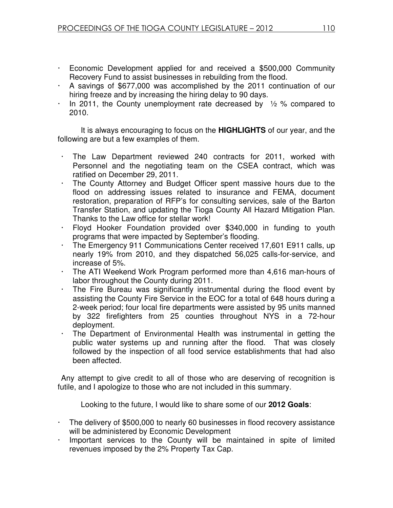- Economic Development applied for and received a \$500,000 Community Recovery Fund to assist businesses in rebuilding from the flood.
- A savings of \$677,000 was accomplished by the 2011 continuation of our hiring freeze and by increasing the hiring delay to 90 days.
- In 2011, the County unemployment rate decreased by  $\frac{1}{2}$  % compared to 2010.

 It is always encouraging to focus on the **HIGHLIGHTS** of our year, and the following are but a few examples of them.

- The Law Department reviewed 240 contracts for 2011, worked with Personnel and the negotiating team on the CSEA contract, which was ratified on December 29, 2011.
- The County Attorney and Budget Officer spent massive hours due to the flood on addressing issues related to insurance and FEMA, document restoration, preparation of RFP's for consulting services, sale of the Barton Transfer Station, and updating the Tioga County All Hazard Mitigation Plan. Thanks to the Law office for stellar work!
- Floyd Hooker Foundation provided over \$340,000 in funding to youth programs that were impacted by September's flooding.
- The Emergency 911 Communications Center received 17,601 E911 calls, up nearly 19% from 2010, and they dispatched 56,025 calls-for-service, and increase of 5%.
- The ATI Weekend Work Program performed more than 4,616 man-hours of labor throughout the County during 2011.
- The Fire Bureau was significantly instrumental during the flood event by assisting the County Fire Service in the EOC for a total of 648 hours during a 2-week period; four local fire departments were assisted by 95 units manned by 322 firefighters from 25 counties throughout NYS in a 72-hour deployment.
- The Department of Environmental Health was instrumental in getting the public water systems up and running after the flood. That was closely followed by the inspection of all food service establishments that had also been affected.

Any attempt to give credit to all of those who are deserving of recognition is futile, and I apologize to those who are not included in this summary.

Looking to the future, I would like to share some of our **2012 Goals**:

- The delivery of \$500,000 to nearly 60 businesses in flood recovery assistance will be administered by Economic Development
- Important services to the County will be maintained in spite of limited revenues imposed by the 2% Property Tax Cap.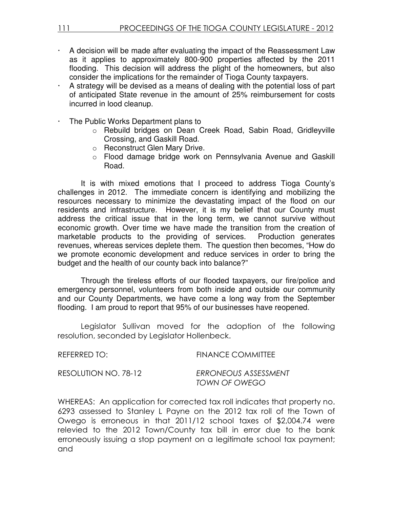- $\cdot$  A decision will be made after evaluating the impact of the Reassessment Law as it applies to approximately 800-900 properties affected by the 2011 flooding. This decision will address the plight of the homeowners, but also consider the implications for the remainder of Tioga County taxpayers.
- A strategy will be devised as a means of dealing with the potential loss of part of anticipated State revenue in the amount of 25% reimbursement for costs incurred in lood cleanup.
- The Public Works Department plans to
	- o Rebuild bridges on Dean Creek Road, Sabin Road, Gridleyville Crossing, and Gaskill Road.
	- o Reconstruct Glen Mary Drive.
	- o Flood damage bridge work on Pennsylvania Avenue and Gaskill Road.

 It is with mixed emotions that I proceed to address Tioga County's challenges in 2012. The immediate concern is identifying and mobilizing the resources necessary to minimize the devastating impact of the flood on our residents and infrastructure. However, it is my belief that our County must address the critical issue that in the long term, we cannot survive without economic growth. Over time we have made the transition from the creation of marketable products to the providing of services. Production generates revenues, whereas services deplete them. The question then becomes, "How do we promote economic development and reduce services in order to bring the budget and the health of our county back into balance?"

Through the tireless efforts of our flooded taxpayers, our fire/police and emergency personnel, volunteers from both inside and outside our community and our County Departments, we have come a long way from the September flooding. I am proud to report that 95% of our businesses have reopened.

 Legislator Sullivan moved for the adoption of the following resolution, seconded by Legislator Hollenbeck.

REFERRED TO: FINANCE COMMITTEE

RESOLUTION NO. 78-12 ERRONEOUS ASSESSMENT TOWN OF OWEGO

WHEREAS: An application for corrected tax roll indicates that property no. 6293 assessed to Stanley L Payne on the 2012 tax roll of the Town of Owego is erroneous in that 2011/12 school taxes of \$2,004.74 were relevied to the 2012 Town/County tax bill in error due to the bank erroneously issuing a stop payment on a legitimate school tax payment; and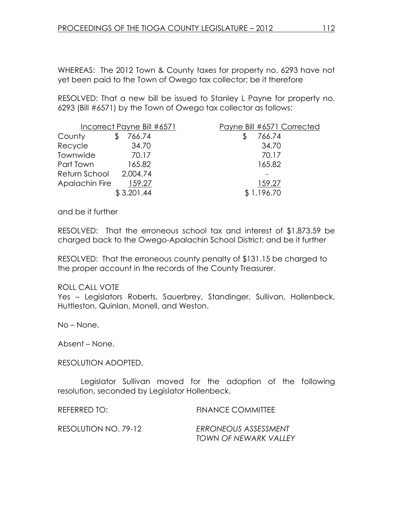WHEREAS: The 2012 Town & County taxes for property no. 6293 have not yet been paid to the Town of Owego tax collector; be it therefore

RESOLVED: That a new bill be issued to Stanley L Payne for property no. 6293 (Bill #6571) by the Town of Owego tax collector as follows:

|                        | Incorrect Payne Bill #6571 | Payne Bill #6571 Corrected |
|------------------------|----------------------------|----------------------------|
| County                 | 766.74                     | 766.74                     |
| Recycle                | 34.70                      | 34.70                      |
| Townwide               | 70.17                      | 70.17                      |
| Part Town              | 165.82                     | 165.82                     |
| Return School 2,004.74 |                            |                            |
| Apalachin Fire         | 159.27                     | 159.27                     |
|                        | \$3,201.44                 | \$1,196.70                 |

and be it further

RESOLVED: That the erroneous school tax and interest of \$1,873.59 be charged back to the Owego-Apalachin School District; and be it further

RESOLVED: That the erroneous county penalty of \$131.15 be charged to the proper account in the records of the County Treasurer.

#### ROLL CALL VOTE

Yes – Legislators Roberts, Sauerbrey, Standinger, Sullivan, Hollenbeck, Huttleston, Quinlan, Monell, and Weston.

No – None.

Absent – None.

#### RESOLUTION ADOPTED.

 Legislator Sullivan moved for the adoption of the following resolution, seconded by Legislator Hollenbeck.

| REFERRED TO:         | <b>FINANCE COMMITTEE</b>                      |
|----------------------|-----------------------------------------------|
| RESOLUTION NO. 79-12 | ERRONEOUS ASSESSMENT<br>TOWN OF NEWARK VALLEY |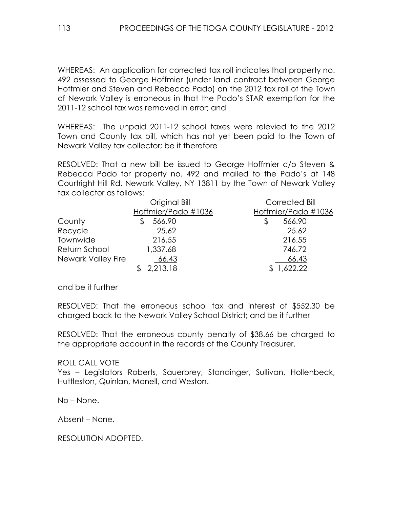WHEREAS: An application for corrected tax roll indicates that property no. 492 assessed to George Hoffmier (under land contract between George Hoffmier and Steven and Rebecca Pado) on the 2012 tax roll of the Town of Newark Valley is erroneous in that the Pado's STAR exemption for the 2011-12 school tax was removed in error; and

WHEREAS: The unpaid 2011-12 school taxes were relevied to the 2012 Town and County tax bill, which has not yet been paid to the Town of Newark Valley tax collector; be it therefore

RESOLVED: That a new bill be issued to George Hoffmier c/o Steven & Rebecca Pado for property no. 492 and mailed to the Pado's at 148 Courtright Hill Rd, Newark Valley, NY 13811 by the Town of Newark Valley tax collector as follows:

|                    | Original Bill       | Corrected Bill      |
|--------------------|---------------------|---------------------|
|                    | Hoffmier/Pado #1036 | Hoffmier/Pado #1036 |
| County             | 566.90              | 566.90<br>\$        |
| Recycle            | 25.62               | 25.62               |
| Townwide           | 216.55              | 216.55              |
| Return School      | 1,337.68            | 746.72              |
| Newark Valley Fire | 66.43               | 66.43               |
|                    | 2,213.18            | 1,622.22            |

and be it further

RESOLVED: That the erroneous school tax and interest of \$552.30 be charged back to the Newark Valley School District; and be it further

RESOLVED: That the erroneous county penalty of \$38.66 be charged to the appropriate account in the records of the County Treasurer.

#### ROLL CALL VOTE

Yes – Legislators Roberts, Sauerbrey, Standinger, Sullivan, Hollenbeck, Huttleston, Quinlan, Monell, and Weston.

No – None.

Absent – None.

RESOLUTION ADOPTED.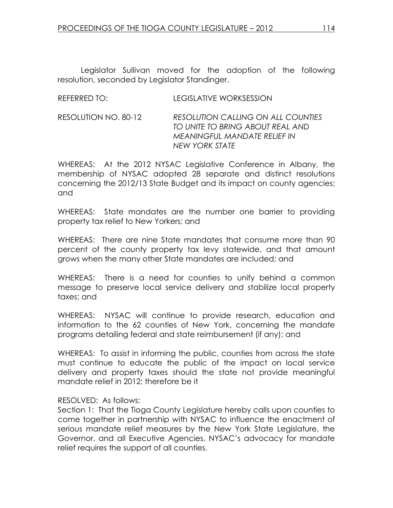Legislator Sullivan moved for the adoption of the following resolution, seconded by Legislator Standinger.

| REFERRED TO: | LEGISLATIVE WORKSESSION |
|--------------|-------------------------|
|              |                         |

#### RESOLUTION NO. 80-12 RESOLUTION CALLING ON ALL COUNTIES TO UNITE TO BRING ABOUT REAL AND MEANINGFUL MANDATE RELIEF IN NEW YORK STATE

WHEREAS: At the 2012 NYSAC Legislative Conference in Albany, the membership of NYSAC adopted 28 separate and distinct resolutions concerning the 2012/13 State Budget and its impact on county agencies; and

WHEREAS: State mandates are the number one barrier to providing property tax relief to New Yorkers; and

WHEREAS: There are nine State mandates that consume more than 90 percent of the county property tax levy statewide, and that amount grows when the many other State mandates are included; and

WHEREAS: There is a need for counties to unify behind a common message to preserve local service delivery and stabilize local property taxes; and

WHEREAS: NYSAC will continue to provide research, education and information to the 62 counties of New York, concerning the mandate programs detailing federal and state reimbursement (if any); and

WHEREAS: To assist in informing the public, counties from across the state must continue to educate the public of the impact on local service delivery and property taxes should the state not provide meaningful mandate relief in 2012; therefore be it

## RESOLVED: As follows:

Section 1: That the Tioga County Legislature hereby calls upon counties to come together in partnership with NYSAC to influence the enactment of serious mandate relief measures by the New York State Legislature, the Governor, and all Executive Agencies, NYSAC's advocacy for mandate relief requires the support of all counties.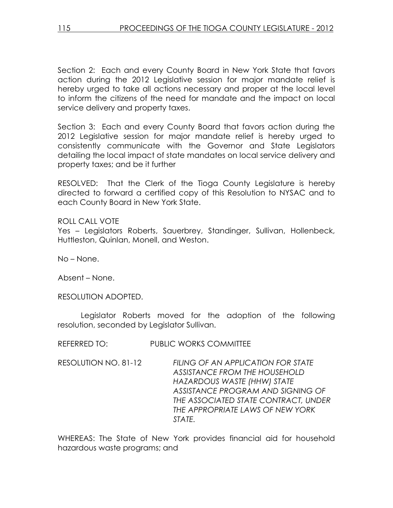Section 2: Each and every County Board in New York State that favors action during the 2012 Legislative session for major mandate relief is hereby urged to take all actions necessary and proper at the local level to inform the citizens of the need for mandate and the impact on local service delivery and property taxes.

Section 3: Each and every County Board that favors action during the 2012 Legislative session for major mandate relief is hereby urged to consistently communicate with the Governor and State Legislators detailing the local impact of state mandates on local service delivery and property taxes; and be it further

RESOLVED: That the Clerk of the Tioga County Legislature is hereby directed to forward a certified copy of this Resolution to NYSAC and to each County Board in New York State.

ROLL CALL VOTE Yes – Legislators Roberts, Sauerbrey, Standinger, Sullivan, Hollenbeck, Huttleston, Quinlan, Monell, and Weston.

No – None.

Absent – None.

RESOLUTION ADOPTED.

 Legislator Roberts moved for the adoption of the following resolution, seconded by Legislator Sullivan.

REFERRED TO: PUBLIC WORKS COMMITTEE

RESOLUTION NO. 81-12 FILING OF AN APPLICATION FOR STATE ASSISTANCE FROM THE HOUSEHOLD HAZARDOUS WASTE (HHW) STATE ASSISTANCE PROGRAM AND SIGNING OF THE ASSOCIATED STATE CONTRACT, UNDER THE APPROPRIATE LAWS OF NEW YORK STATE.

WHEREAS: The State of New York provides financial aid for household hazardous waste programs; and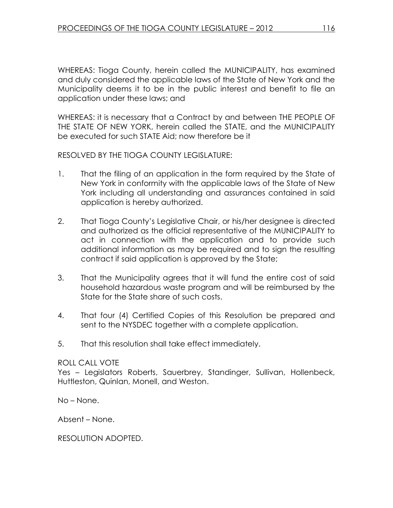WHEREAS: Tioga County, herein called the MUNICIPALITY, has examined and duly considered the applicable laws of the State of New York and the Municipality deems it to be in the public interest and benefit to file an application under these laws; and

WHEREAS: it is necessary that a Contract by and between THE PEOPLE OF THE STATE OF NEW YORK, herein called the STATE, and the MUNICIPALITY be executed for such STATE Aid; now therefore be it

RESOLVED BY THE TIOGA COUNTY LEGISLATURE:

- 1. That the filing of an application in the form required by the State of New York in conformity with the applicable laws of the State of New York including all understanding and assurances contained in said application is hereby authorized.
- 2. That Tioga County's Legislative Chair, or his/her designee is directed and authorized as the official representative of the MUNICIPALITY to act in connection with the application and to provide such additional information as may be required and to sign the resulting contract if said application is approved by the State;
- 3. That the Municipality agrees that it will fund the entire cost of said household hazardous waste program and will be reimbursed by the State for the State share of such costs.
- 4. That four (4) Certified Copies of this Resolution be prepared and sent to the NYSDEC together with a complete application.
- 5. That this resolution shall take effect immediately.

#### ROLL CALL VOTE

Yes – Legislators Roberts, Sauerbrey, Standinger, Sullivan, Hollenbeck, Huttleston, Quinlan, Monell, and Weston.

No – None.

Absent – None.

RESOLUTION ADOPTED.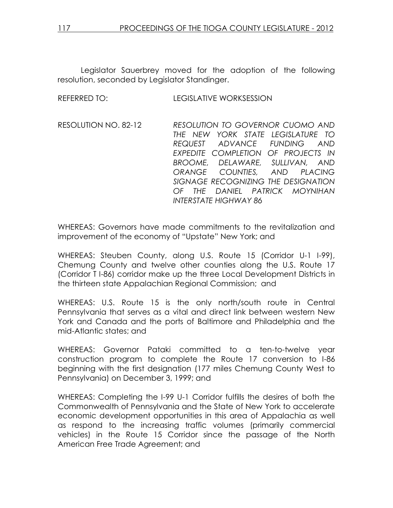Legislator Sauerbrey moved for the adoption of the following resolution, seconded by Legislator Standinger.

| REFERRED TO:         | <b>LEGISLATIVE WORKSESSION</b>                                                                                                                                                                                                                                                                                         |
|----------------------|------------------------------------------------------------------------------------------------------------------------------------------------------------------------------------------------------------------------------------------------------------------------------------------------------------------------|
| RESOLUTION NO. 82-12 | RESOLUTION TO GOVERNOR CUOMO AND<br>THE NEW YORK STATE LEGISLATURE TO<br>REQUEST ADVANCE FUNDING AND<br>EXPEDITE COMPLETION OF PROJECTS IN<br>BROOME, DELAWARE, SULLIVAN, AND<br>ORANGE COUNTIES, AND PLACING<br>SIGNAGE RECOGNIZING THE DESIGNATION<br>OF THE DANIEL PATRICK MOYNIHAN<br><b>INTERSTATE HIGHWAY 86</b> |

WHEREAS: Governors have made commitments to the revitalization and improvement of the economy of "Upstate" New York; and

WHEREAS: Steuben County, along U.S. Route 15 (Corridor U-1 I-99), Chemung County and twelve other counties along the U.S. Route 17 (Corridor T I-86) corridor make up the three Local Development Districts in the thirteen state Appalachian Regional Commission; and

WHEREAS: U.S. Route 15 is the only north/south route in Central Pennsylvania that serves as a vital and direct link between western New York and Canada and the ports of Baltimore and Philadelphia and the mid-Atlantic states; and

WHEREAS: Governor Pataki committed to a ten-to-twelve year construction program to complete the Route 17 conversion to I-86 beginning with the first designation (177 miles Chemung County West to Pennsylvania) on December 3, 1999; and

WHEREAS: Completing the I-99 U-1 Corridor fulfills the desires of both the Commonwealth of Pennsylvania and the State of New York to accelerate economic development opportunities in this area of Appalachia as well as respond to the increasing traffic volumes (primarily commercial vehicles) in the Route 15 Corridor since the passage of the North American Free Trade Agreement; and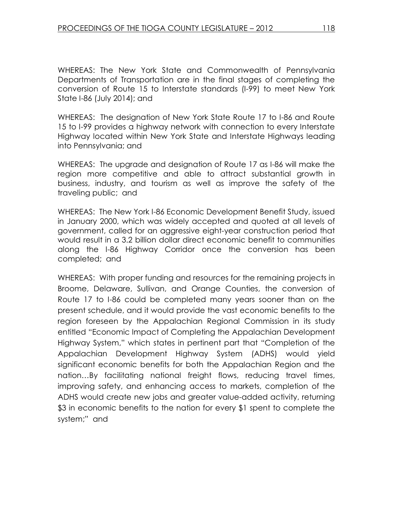WHEREAS: The New York State and Commonwealth of Pennsylvania Departments of Transportation are in the final stages of completing the conversion of Route 15 to Interstate standards (I-99) to meet New York State I-86 (July 2014); and

WHEREAS: The designation of New York State Route 17 to I-86 and Route 15 to I-99 provides a highway network with connection to every Interstate Highway located within New York State and Interstate Highways leading into Pennsylvania; and

WHEREAS: The upgrade and designation of Route 17 as I-86 will make the region more competitive and able to attract substantial growth in business, industry, and tourism as well as improve the safety of the traveling public; and

WHEREAS: The New York I-86 Economic Development Benefit Study, issued in January 2000, which was widely accepted and quoted at all levels of government, called for an aggressive eight-year construction period that would result in a 3.2 billion dollar direct economic benefit to communities along the I-86 Highway Corridor once the conversion has been completed; and

WHEREAS: With proper funding and resources for the remaining projects in Broome, Delaware, Sullivan, and Orange Counties, the conversion of Route 17 to I-86 could be completed many years sooner than on the present schedule, and it would provide the vast economic benefits to the region foreseen by the Appalachian Regional Commission in its study entitled "Economic Impact of Completing the Appalachian Development Highway System," which states in pertinent part that "Completion of the Appalachian Development Highway System (ADHS) would yield significant economic benefits for both the Appalachian Region and the nation…By facilitating national freight flows, reducing travel times, improving safety, and enhancing access to markets, completion of the ADHS would create new jobs and greater value-added activity, returning \$3 in economic benefits to the nation for every \$1 spent to complete the system;" and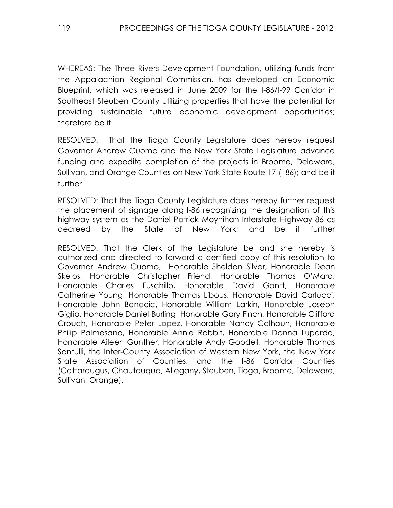WHEREAS: The Three Rivers Development Foundation, utilizing funds from the Appalachian Regional Commission, has developed an Economic Blueprint, which was released in June 2009 for the I-86/I-99 Corridor in Southeast Steuben County utilizing properties that have the potential for providing sustainable future economic development opportunities; therefore be it

RESOLVED: That the Tioga County Legislature does hereby request Governor Andrew Cuomo and the New York State Legislature advance funding and expedite completion of the projects in Broome, Delaware, Sullivan, and Orange Counties on New York State Route 17 (I-86); and be it further

RESOLVED: That the Tioga County Legislature does hereby further request the placement of signage along I-86 recognizing the designation of this highway system as the Daniel Patrick Moynihan Interstate Highway 86 as decreed by the State of New York; and be it further

RESOLVED: That the Clerk of the Legislature be and she hereby is authorized and directed to forward a certified copy of this resolution to Governor Andrew Cuomo, Honorable Sheldon Silver, Honorable Dean Skelos, Honorable Christopher Friend, Honorable Thomas O'Mara, Honorable Charles Fuschillo, Honorable David Gantt, Honorable Catherine Young, Honorable Thomas Libous, Honorable David Carlucci, Honorable John Bonacic, Honorable William Larkin, Honorable Joseph Giglio, Honorable Daniel Burling, Honorable Gary Finch, Honorable Clifford Crouch, Honorable Peter Lopez, Honorable Nancy Calhoun, Honorable Philip Palmesano, Honorable Annie Rabbit, Honorable Donna Lupardo, Honorable Aileen Gunther, Honorable Andy Goodell, Honorable Thomas Santulli, the Inter-County Association of Western New York, the New York State Association of Counties, and the I-86 Corridor Counties (Cattaraugus, Chautauqua, Allegany, Steuben, Tioga, Broome, Delaware, Sullivan, Orange).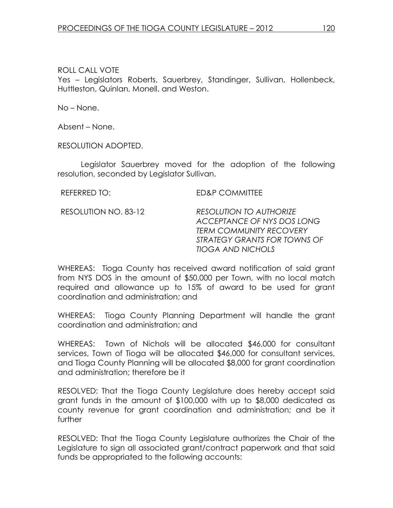ROLL CALL VOTE Yes – Legislators Roberts, Sauerbrey, Standinger, Sullivan, Hollenbeck, Huttleston, Quinlan, Monell, and Weston.

No – None.

Absent – None.

RESOLUTION ADOPTED.

 Legislator Sauerbrey moved for the adoption of the following resolution, seconded by Legislator Sullivan.

REFERRED TO: ED&P COMMITTEE

RESOLUTION NO. 83-12 RESOLUTION TO AUTHORIZE ACCEPTANCE OF NYS DOS LONG TERM COMMUNITY RECOVERY STRATEGY GRANTS FOR TOWNS OF TIOGA AND NICHOLS

WHEREAS: Tioga County has received award notification of said grant from NYS DOS in the amount of \$50,000 per Town, with no local match required and allowance up to 15% of award to be used for grant coordination and administration; and

WHEREAS: Tioga County Planning Department will handle the grant coordination and administration; and

WHEREAS: Town of Nichols will be allocated \$46,000 for consultant services, Town of Tioga will be allocated \$46,000 for consultant services, and Tioga County Planning will be allocated \$8,000 for grant coordination and administration; therefore be it

RESOLVED: That the Tioga County Legislature does hereby accept said grant funds in the amount of \$100,000 with up to \$8,000 dedicated as county revenue for grant coordination and administration; and be it further

RESOLVED: That the Tioga County Legislature authorizes the Chair of the Legislature to sign all associated grant/contract paperwork and that said funds be appropriated to the following accounts: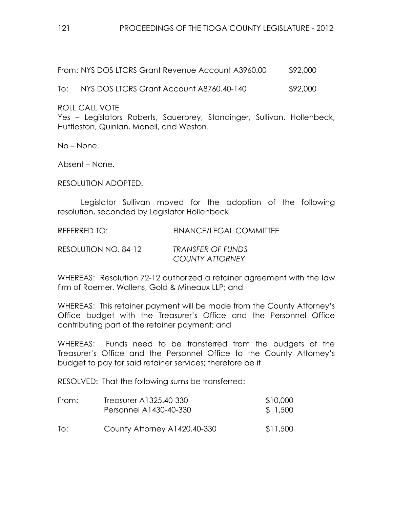From: NYS DOS LTCRS Grant Revenue Account A3960.00 \$92,000

To: NYS DOS LTCRS Grant Account A8760.40-140 \$92,000

ROLL CALL VOTE

Yes – Legislators Roberts, Sauerbrey, Standinger, Sullivan, Hollenbeck, Huttleston, Quinlan, Monell, and Weston.

No – None.

Absent – None.

RESOLUTION ADOPTED.

 Legislator Sullivan moved for the adoption of the following resolution, seconded by Legislator Hollenbeck.

REFERRED TO: FINANCE/LEGAL COMMITTEE

RESOLUTION NO. 84-12 TRANSFER OF FUNDS COUNTY ATTORNEY

WHEREAS: Resolution 72-12 authorized a retainer agreement with the law firm of Roemer, Wallens, Gold & Mineaux LLP; and

WHEREAS: This retainer payment will be made from the County Attorney's Office budget with the Treasurer's Office and the Personnel Office contributing part of the retainer payment; and

WHEREAS: Funds need to be transferred from the budgets of the Treasurer's Office and the Personnel Office to the County Attorney's budget to pay for said retainer services; therefore be it

RESOLVED: That the following sums be transferred:

| From: | Treasurer A1325.40-330<br>Personnel A1430-40-330 | \$10,000<br>\$ 1,500 |
|-------|--------------------------------------------------|----------------------|
| To:   | County Attorney A1420.40-330                     | \$11,500             |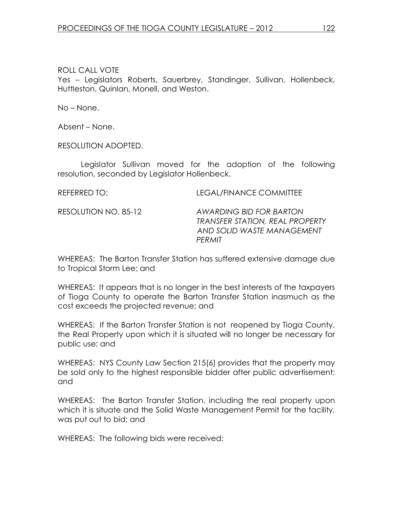ROLL CALL VOTE Yes – Legislators Roberts, Sauerbrey, Standinger, Sullivan, Hollenbeck, Huttleston, Quinlan, Monell, and Weston.

No – None.

Absent – None.

RESOLUTION ADOPTED.

 Legislator Sullivan moved for the adoption of the following resolution, seconded by Legislator Hollenbeck.

REFERRED TO: LEGAL/FINANCE COMMITTEE

RESOLUTION NO. 85-12 AWARDING BID FOR BARTON TRANSFER STATION, REAL PROPERTY AND SOLID WASTE MANAGEMENT **PERMIT** 

WHEREAS: The Barton Transfer Station has suffered extensive damage due to Tropical Storm Lee; and

WHEREAS: It appears that is no longer in the best interests of the taxpayers of Tioga County to operate the Barton Transfer Station inasmuch as the cost exceeds the projected revenue; and

WHEREAS: If the Barton Transfer Station is not reopened by Tioga County, the Real Property upon which it is situated will no longer be necessary for public use; and

WHEREAS: NYS County Law Section 215(6) provides that the property may be sold only to the highest responsible bidder after public advertisement; and

WHEREAS: The Barton Transfer Station, including the real property upon which it is situate and the Solid Waste Management Permit for the facility, was put out to bid; and

WHEREAS: The following bids were received: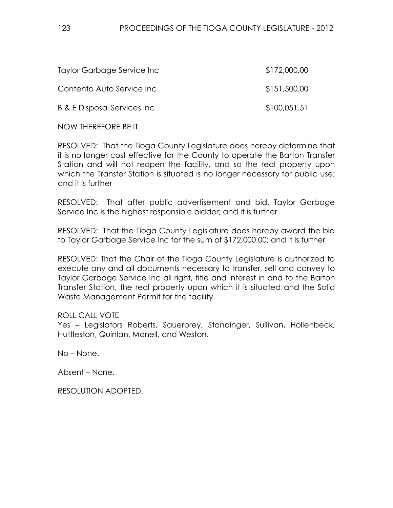| Taylor Garbage Service Inc              | \$172,000.00 |
|-----------------------------------------|--------------|
| Contento Auto Service Inc.              | \$151,500.00 |
| <b>B &amp; E Disposal Services Inc.</b> | \$100,051.51 |

NOW THEREFORE BE IT

RESOLVED: That the Tioga County Legislature does hereby determine that it is no longer cost effective for the County to operate the Barton Transfer Station and will not reopen the facility, and so the real property upon which the Transfer Station is situated is no longer necessary for public use; and it is further

RESOLVED: That after public advertisement and bid, Taylor Garbage Service Inc is the highest responsible bidder; and it is further

RESOLVED: That the Tioga County Legislature does hereby award the bid to Taylor Garbage Service Inc for the sum of \$172,000.00; and it is further

RESOLVED: That the Chair of the Tioga County Legislature is authorized to execute any and all documents necessary to transfer, sell and convey to Taylor Garbage Service Inc all right, title and interest in and to the Barton Transfer Station, the real property upon which it is situated and the Solid Waste Management Permit for the facility.

ROLL CALL VOTE

Yes – Legislators Roberts, Sauerbrey, Standinger, Sullivan, Hollenbeck, Huttleston, Quinlan, Monell, and Weston.

No – None.

Absent – None.

RESOLUTION ADOPTED.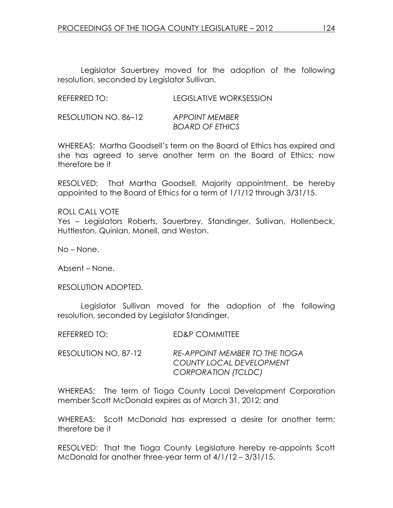Legislator Sauerbrey moved for the adoption of the following resolution, seconded by Legislator Sullivan.

RESOLUTION NO. 86–12 APPOINT MEMBER BOARD OF ETHICS

WHEREAS: Martha Goodsell's term on the Board of Ethics has expired and she has agreed to serve another term on the Board of Ethics; now therefore be it

RESOLVED: That Martha Goodsell, Majority appointment, be hereby appointed to the Board of Ethics for a term of 1/1/12 through 3/31/15.

ROLL CALL VOTE Yes – Legislators Roberts, Sauerbrey, Standinger, Sullivan, Hollenbeck, Huttleston, Quinlan, Monell, and Weston.

No – None.

Absent – None.

RESOLUTION ADOPTED.

 Legislator Sullivan moved for the adoption of the following resolution, seconded by Legislator Standinger.

| <b>ED&amp;P COMMITTEE</b><br><b>REFERRED TO:</b> |
|--------------------------------------------------|
|--------------------------------------------------|

RESOLUTION NO. 87-12 RE-APPOINT MEMBER TO THE TIOGA COUNTY LOCAL DEVELOPMENT CORPORATION (TCLDC)

WHEREAS: The term of Tioga County Local Development Corporation member Scott McDonald expires as of March 31, 2012; and

WHEREAS: Scott McDonald has expressed a desire for another term; therefore be it

RESOLVED: That the Tioga County Legislature hereby re-appoints Scott McDonald for another three-year term of 4/1/12 – 3/31/15.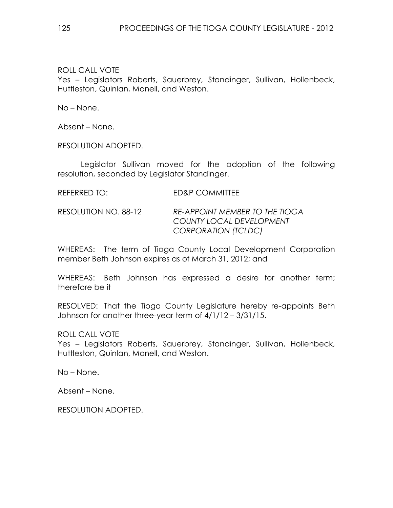ROLL CALL VOTE Yes – Legislators Roberts, Sauerbrey, Standinger, Sullivan, Hollenbeck, Huttleston, Quinlan, Monell, and Weston.

No – None.

Absent – None.

RESOLUTION ADOPTED.

 Legislator Sullivan moved for the adoption of the following resolution, seconded by Legislator Standinger.

REFERRED TO: ED&P COMMITTEE

RESOLUTION NO. 88-12 RE-APPOINT MEMBER TO THE TIOGA COUNTY LOCAL DEVELOPMENT CORPORATION (TCLDC)

WHEREAS: The term of Tioga County Local Development Corporation member Beth Johnson expires as of March 31, 2012; and

WHEREAS: Beth Johnson has expressed a desire for another term; therefore be it

RESOLVED: That the Tioga County Legislature hereby re-appoints Beth Johnson for another three-year term of 4/1/12 – 3/31/15.

ROLL CALL VOTE

Yes – Legislators Roberts, Sauerbrey, Standinger, Sullivan, Hollenbeck, Huttleston, Quinlan, Monell, and Weston.

No – None.

Absent – None.

RESOLUTION ADOPTED.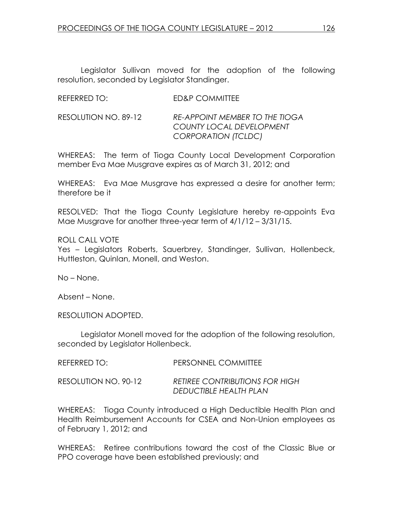Legislator Sullivan moved for the adoption of the following resolution, seconded by Legislator Standinger.

| REFERRED TO: | <b>ED&amp;P COMMITTEE</b> |
|--------------|---------------------------|
|              |                           |

RESOLUTION NO. 89-12 RE-APPOINT MEMBER TO THE TIOGA COUNTY LOCAL DEVELOPMENT CORPORATION (TCLDC)

WHEREAS: The term of Tioga County Local Development Corporation member Eva Mae Musgrave expires as of March 31, 2012; and

WHEREAS: Eva Mae Musgrave has expressed a desire for another term; therefore be it

RESOLVED: That the Tioga County Legislature hereby re-appoints Eva Mae Musgrave for another three-year term of 4/1/12 – 3/31/15.

ROLL CALL VOTE Yes – Legislators Roberts, Sauerbrey, Standinger, Sullivan, Hollenbeck, Huttleston, Quinlan, Monell, and Weston.

No – None.

Absent – None.

RESOLUTION ADOPTED.

 Legislator Monell moved for the adoption of the following resolution, seconded by Legislator Hollenbeck.

| REFERRED TO:         | PERSONNEL COMMITTEE                                             |
|----------------------|-----------------------------------------------------------------|
| RESOLUTION NO. 90-12 | <b>RETIREE CONTRIBUTIONS FOR HIGH</b><br>DEDUCTIBLE HEALTH PLAN |

WHEREAS: Tioga County introduced a High Deductible Health Plan and Health Reimbursement Accounts for CSEA and Non-Union employees as of February 1, 2012; and

WHEREAS: Retiree contributions toward the cost of the Classic Blue or PPO coverage have been established previously; and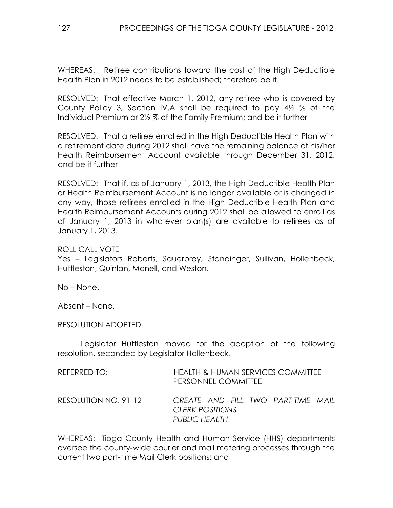WHEREAS: Retiree contributions toward the cost of the High Deductible Health Plan in 2012 needs to be established; therefore be it

RESOLVED: That effective March 1, 2012, any retiree who is covered by County Policy 3, Section IV.A shall be required to pay 4½ % of the Individual Premium or 2½ % of the Family Premium; and be it further

RESOLVED: That a retiree enrolled in the High Deductible Health Plan with a retirement date during 2012 shall have the remaining balance of his/her Health Reimbursement Account available through December 31, 2012; and be it further

RESOLVED: That if, as of January 1, 2013, the High Deductible Health Plan or Health Reimbursement Account is no longer available or is changed in any way, those retirees enrolled in the High Deductible Health Plan and Health Reimbursement Accounts during 2012 shall be allowed to enroll as of January 1, 2013 in whatever plan(s) are available to retirees as of January 1, 2013.

## ROLL CALL VOTE

Yes – Legislators Roberts, Sauerbrey, Standinger, Sullivan, Hollenbeck, Huttleston, Quinlan, Monell, and Weston.

No – None.

Absent – None.

RESOLUTION ADOPTED.

 Legislator Huttleston moved for the adoption of the following resolution, seconded by Legislator Hollenbeck.

| REFERRED TO:         | HEALTH & HUMAN SERVICES COMMITTEE<br>PERSONNEL COMMITTEE                      |
|----------------------|-------------------------------------------------------------------------------|
| RESOLUTION NO. 91-12 | CREATE AND FILL TWO PART-TIME MAIL<br><b>CLERK POSITIONS</b><br>PUBLIC HEALTH |

WHEREAS: Tioga County Health and Human Service (HHS) departments oversee the county-wide courier and mail metering processes through the current two part-time Mail Clerk positions; and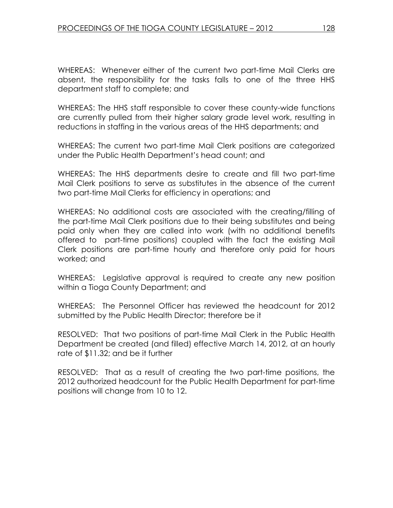WHEREAS: Whenever either of the current two part-time Mail Clerks are absent, the responsibility for the tasks falls to one of the three HHS department staff to complete; and

WHEREAS: The HHS staff responsible to cover these county-wide functions are currently pulled from their higher salary grade level work, resulting in reductions in staffing in the various areas of the HHS departments; and

WHEREAS: The current two part-time Mail Clerk positions are categorized under the Public Health Department's head count; and

WHEREAS: The HHS departments desire to create and fill two part-time Mail Clerk positions to serve as substitutes in the absence of the current two part-time Mail Clerks for efficiency in operations; and

WHEREAS: No additional costs are associated with the creating/filling of the part-time Mail Clerk positions due to their being substitutes and being paid only when they are called into work (with no additional benefits offered to part-time positions) coupled with the fact the existing Mail Clerk positions are part-time hourly and therefore only paid for hours worked; and

WHEREAS: Legislative approval is required to create any new position within a Tioga County Department; and

WHEREAS: The Personnel Officer has reviewed the headcount for 2012 submitted by the Public Health Director; therefore be it

RESOLVED: That two positions of part-time Mail Clerk in the Public Health Department be created (and filled) effective March 14, 2012, at an hourly rate of \$11.32; and be it further

RESOLVED: That as a result of creating the two part-time positions, the 2012 authorized headcount for the Public Health Department for part-time positions will change from 10 to 12.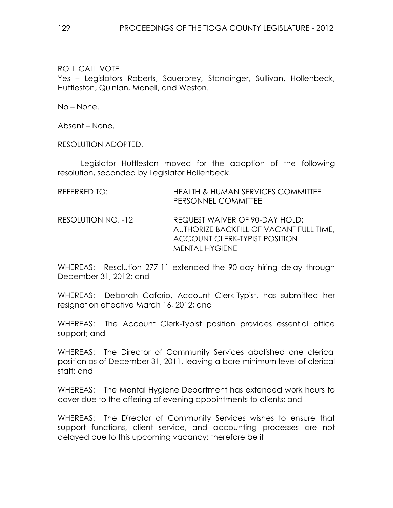ROLL CALL VOTE Yes – Legislators Roberts, Sauerbrey, Standinger, Sullivan, Hollenbeck, Huttleston, Quinlan, Monell, and Weston.

No – None.

Absent – None.

RESOLUTION ADOPTED.

 Legislator Huttleston moved for the adoption of the following resolution, seconded by Legislator Hollenbeck.

| REFERRED TO:       | <b>HEALTH &amp; HUMAN SERVICES COMMITTEE</b><br>PERSONNEL COMMITTEE                                                                        |
|--------------------|--------------------------------------------------------------------------------------------------------------------------------------------|
| RESOLUTION NO. -12 | REQUEST WAIVER OF 90-DAY HOLD;<br>AUTHORIZE BACKFILL OF VACANT FULL-TIME,<br><b>ACCOUNT CLERK-TYPIST POSITION</b><br><b>MENTAL HYGIENE</b> |

WHEREAS: Resolution 277-11 extended the 90-day hiring delay through December 31, 2012; and

WHEREAS: Deborah Caforio, Account Clerk-Typist, has submitted her resignation effective March 16, 2012; and

WHEREAS: The Account Clerk-Typist position provides essential office support; and

WHEREAS: The Director of Community Services abolished one clerical position as of December 31, 2011, leaving a bare minimum level of clerical staff; and

WHEREAS: The Mental Hygiene Department has extended work hours to cover due to the offering of evening appointments to clients; and

WHEREAS: The Director of Community Services wishes to ensure that support functions, client service, and accounting processes are not delayed due to this upcoming vacancy; therefore be it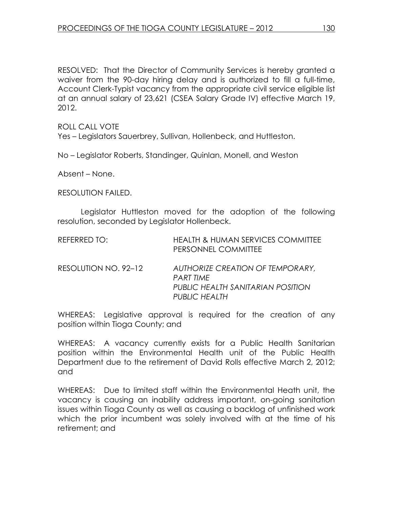RESOLVED: That the Director of Community Services is hereby granted a waiver from the 90-day hiring delay and is authorized to fill a full-time, Account Clerk-Typist vacancy from the appropriate civil service eligible list at an annual salary of 23,621 (CSEA Salary Grade IV) effective March 19, 2012.

ROLL CALL VOTE

Yes – Legislators Sauerbrey, Sullivan, Hollenbeck, and Huttleston.

No – Legislator Roberts, Standinger, Quinlan, Monell, and Weston

Absent – None.

RESOLUTION FAILED.

 Legislator Huttleston moved for the adoption of the following resolution, seconded by Legislator Hollenbeck.

| REFERRED TO:         | <b>HEALTH &amp; HUMAN SERVICES COMMITTEE</b><br>PERSONNEL COMMITTEE                                 |
|----------------------|-----------------------------------------------------------------------------------------------------|
| RESOLUTION NO. 92-12 | AUTHORIZE CREATION OF TEMPORARY,<br>PART TIME<br>PUBLIC HEALTH SANITARIAN POSITION<br>PUBLIC HEALTH |

WHEREAS: Legislative approval is required for the creation of any position within Tioga County; and

WHEREAS: A vacancy currently exists for a Public Health Sanitarian position within the Environmental Health unit of the Public Health Department due to the retirement of David Rolls effective March 2, 2012; and

WHEREAS: Due to limited staff within the Environmental Heath unit, the vacancy is causing an inability address important, on-going sanitation issues within Tioga County as well as causing a backlog of unfinished work which the prior incumbent was solely involved with at the time of his retirement; and